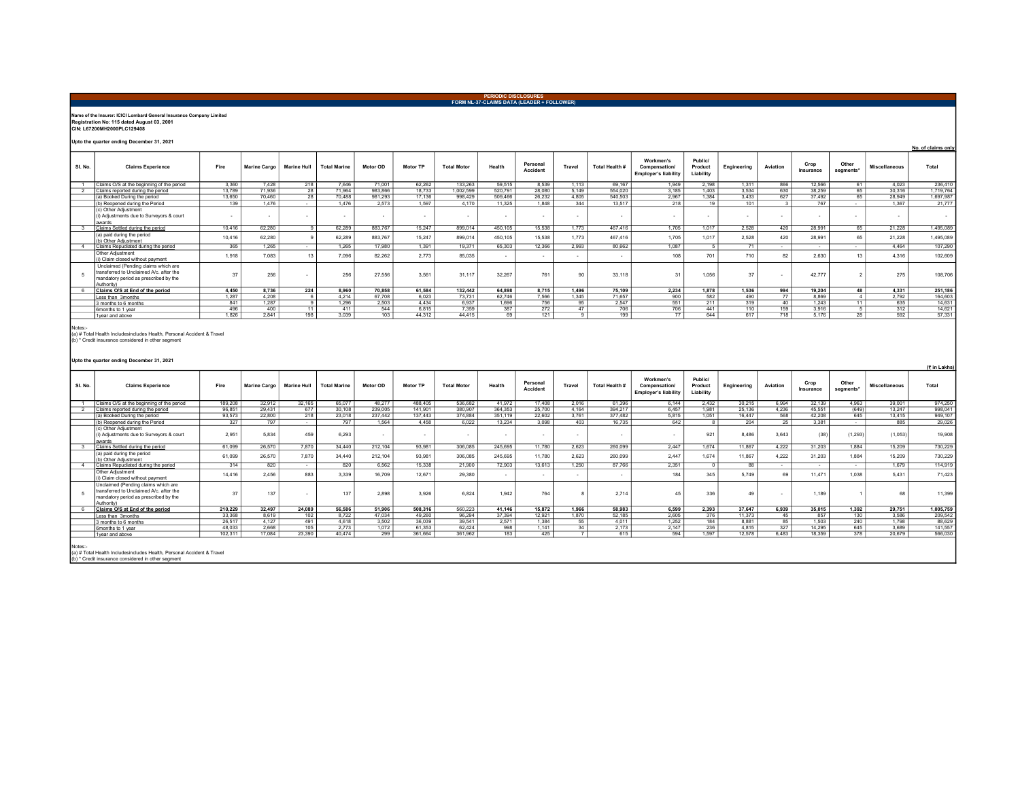## Name of the Insurer: ICICI Lombard General Insurance Company Limited Registration No: 115 dated August 03, 2001 CIN: L67200MH2000PLC129408

Upto the quarter ending December 31, 2021

|         | opto the quarter ending becember 31, 2021                                                                                            |        |              |                    |                     |          |                 |                    |         |                      |        |                |                                                           |                                 |             |              |                   |                    |                      | No. of claims only |
|---------|--------------------------------------------------------------------------------------------------------------------------------------|--------|--------------|--------------------|---------------------|----------|-----------------|--------------------|---------|----------------------|--------|----------------|-----------------------------------------------------------|---------------------------------|-------------|--------------|-------------------|--------------------|----------------------|--------------------|
| SI. No. | <b>Claims Experience</b>                                                                                                             | Fire   | Marine Cargo | <b>Marine Hull</b> | <b>Total Marine</b> | Motor OD | <b>Motor TP</b> | <b>Total Motor</b> | Health  | Personal<br>Accident | Travel | Total Health # | Workmen's<br>Compensation/<br><b>Employer's liability</b> | Public/<br>Product<br>Liability | Engineering | Aviation     | Crop<br>Insurance | Other<br>segments* | <b>Miscellaneous</b> | Total              |
|         | Claims O/S at the beginning of the period                                                                                            | 3.360  | 7.428        | 218                | 7.646               | 71.001   | 62.262          | 133.263            | 59,515  | 8.539                | 1.113  | 69.167         | 1.949                                                     | 2.198                           | 1.311       | 866          | 12.566            | 61                 | 4.023                | 236,410            |
|         | Claims reported during the period                                                                                                    | 13.789 | 71.936       | $\overline{28}$    | 71.964              | 983.866  | 18.733          | 1.002.599          | 520.791 | 28,080               | 5.149  | 554.020        | 3.185                                                     | 1.403                           | 3,534       | 630          | 38.259            | 65                 | 30.316               | 1.719.764          |
|         | (a) Booked During the period                                                                                                         | 13,650 | 70.460       | 28                 | 70.488              | 981.293  | 17,136          | 998,429            | 509,466 | 26,232               | 4.805  | 540,503        | 2.967                                                     | 1.384                           | 3,433       | 627          | 37,492            | 65                 | 28,949               | 1,697,987          |
|         | (b) Reopened during the Period                                                                                                       | 139    | 1.476        |                    | 1476                | 2.573    | 1.597           | 4.170              | 11.325  | 1.848                | 344    | 13.517         | 218                                                       | 19                              | 101         | $\mathbf{3}$ | 767               |                    | 1.367                | 21,777             |
|         | (c) Other Adjustment<br>(i) Adiustments due to Survevors & court<br>awards                                                           |        |              |                    |                     |          |                 |                    |         |                      |        |                |                                                           |                                 |             |              |                   |                    |                      | $\sim$             |
|         | laims Settled during the period                                                                                                      | 10.416 | 62.280       |                    | 62.289              | 883,767  | 15.247          | 899.014            | 450.105 | 15.538               | 1.773  | 467.416        | 1.705                                                     | 1.017                           | 2.528       | 420          | 28.991            | 65                 | 21.228               | 1,495,089          |
|         | (a) paid during the period<br>(b) Other Adjustment                                                                                   | 10.416 | 62.280       |                    | 62,289              | 883,767  | 15.247          | 899.014            | 450.105 | 15,538               | 1.773  | 467.416        | 1705                                                      | 1.017                           | 2.528       | 420          | 28.991            | 65                 | 21.228               | 1,495,089          |
|         | Claims Repudiated during the period                                                                                                  | 365    | 1.265        |                    | 1.265               | 17,980   | 1.391           | 19,371             | 65,303  | 12,366               | 2.993  | 80.662         | 1.087                                                     |                                 | 71          | $\sim$       | $\sim$            | $\sim$             | 4.464                | 107.290            |
|         | Other Adiustment<br>i) Claim closed without payment                                                                                  | 1.918  | 7.083        |                    | 7.096               | 82.262   | 2.773           | 85.035             |         |                      |        | ٠.             | 108                                                       | 701                             | 710         | 82           | 2.630             | 13                 | 4.316                | 102.609            |
|         | Unclaimed (Pending claims which are<br>transferred to Unclaimed A/c, after the<br>mandatory period as prescribed by the<br>Authority | 27     | 256          | $\sim$             | 256                 | 27,556   | 3.561           | 31,117             | 32,267  | 761                  | 90     | 33,118         | 31                                                        | 1,056                           | 37          |              | 42.777            |                    | 275                  | 108,706            |
|         | Claims O/S at End of the period                                                                                                      | 4.450  | 8.736        | 224                | 8.960               | 70.858   | 61.584          | 132,442            | 64.898  | 8.715                | 1.496  | 75.109         | 2.234                                                     | 1.878                           | 1.536       | 994          | 19.204            | 48                 | 4.331                | 251,186            |
|         | Less than 3months                                                                                                                    | 1.287  | 4.208        |                    | 4.214               | 67,708   | 6.023           | 73.731             | 62.746  | 7,566                | 1,345  | 71.657         | 900                                                       | 582                             | 490         | 77           | 8,869             |                    | 2,792                | 164,603            |
|         | months to 6 months                                                                                                                   | 841    | 1.287        |                    | 1.296               | 2.503    | 4.434           | 6.937              | 1.696   | 756                  | 95     | 2.547          | 551                                                       | 211                             | 319         | 40           | 1.243             | 11                 | 635                  | 14.631             |
|         | 6months to 1 year                                                                                                                    | 496    | 400          | 11                 | 411                 | 544      | 6.815           | 7.359              | 387     | 272                  | 47     | 706            | 706                                                       | 441                             | 110         | 159          | 3.916             |                    | 312                  | 14.621             |
|         | 1 vear and above                                                                                                                     | 1.826  | 2.841        | 198                | 3.039               | 103      | 44,312          | 44 415             | 69      | 121                  |        | 199            | 77                                                        | 644                             | 617         | 718          | 5.176             | 28                 | 592                  | 57,331             |
|         |                                                                                                                                      |        |              |                    |                     |          |                 |                    |         |                      |        |                |                                                           |                                 |             |              |                   |                    |                      |                    |

PERIODIC DISCLOSURES FORM NL-37-CLAIMS DATA (LEADER + FOLLOWER)

Notes:- (a) # Total Health Includesincludes Health, Personal Accident & Travel (b) \* Credit insurance considered in other segment

## Upto the quarter ending December 31, 2021

|         |                                                                                                                                       |         |              |                    |                     |                          |                 |                    |         |                      |        |                |                                                           |                                 |             |          |                   |                    |                      | (? in Lakhs) |
|---------|---------------------------------------------------------------------------------------------------------------------------------------|---------|--------------|--------------------|---------------------|--------------------------|-----------------|--------------------|---------|----------------------|--------|----------------|-----------------------------------------------------------|---------------------------------|-------------|----------|-------------------|--------------------|----------------------|--------------|
| SI, No. | <b>Claims Experience</b>                                                                                                              | Fire    | Marine Cargo | <b>Marine Hull</b> | <b>Total Marine</b> | Motor OD                 | <b>Motor TP</b> | <b>Total Motor</b> | Health  | Personal<br>Accident | Travel | Total Health # | Workmen's<br>Compensation/<br><b>Employer's liability</b> | Public/<br>Product<br>Liability | Engineering | Aviation | Crop<br>Insurance | Other<br>segments* | <b>Miscellaneous</b> | Total        |
|         | Claims O/S at the beginning of the period                                                                                             | 189,208 | 32.912       | 32.165             | 65.077              | 48.277                   | 488.405         | 536,682            | 41.972  | 17,408               | 2.016  | 61.396         | 6.144                                                     | 2.432                           | 30.215      | 6.994    | 32.139            | 4.963              | 39,001               | 974,250      |
|         | Claims reported during the period                                                                                                     | 96.851  | 29.431       | 677                | 30.108              | 239.005                  | 141,901         | 380,907            | 364.353 | 25,700               | 4.164  | 394.217        | 6.457                                                     | 1.981                           | 25.136      | 4.236    | 45.551            | (649)              | 13.247               | 998.041      |
|         | (a) Booked During the period                                                                                                          | 93,573  | 22,800       | $\overline{218}$   | 23.018              | 237.442                  | 137,443         | 374,884            | 351.119 | 22.602               | 3.761  | 377.482        | 5.815                                                     | 1.051                           | 16.447      | 568      | 42.208            | 645                | 13,415               | 949,107      |
|         | (b) Reopened during the Period                                                                                                        | 327     | 797          | <b>Service</b>     | 797                 | 1.564                    | 4458            | 6.022              | 13 2 34 | 3.098                | 403    | 16 735         | 642                                                       |                                 | 204         | 25       | 3 3 8 1           | $\sim$             | 885                  | 29.026       |
|         | (c) Other Adjustment<br>(i) Adjustments due to Survevors & court<br>awards                                                            | 2.951   | 5.834        | 459                | 6.293               | $\overline{\phantom{a}}$ |                 |                    |         |                      | $\sim$ |                |                                                           | 921                             | 8.486       | 3.643    | (38)              | (1, 293)           | (1,053)              | 19,908       |
|         | Claims Settled during the period                                                                                                      | 61.099  | 26,570       | 7,870              | 34.440              | 212,104                  | 93.981          | 306.085            | 245.695 | 11.780               | 2.623  | 260.099        | 2.447                                                     | 1.674                           | 11.867      | 4.222    | 31.203            | 1.884              | 15.209               | 730,229      |
|         | (a) paid during the period<br>(b) Other Adiustment                                                                                    | 61,099  | 26,570       | 7.870              | 34,440              | 212,104                  | 93.98           | 306,085            | 245,695 | 11.780               | 2.623  | 260,099        | 2.447                                                     | 1.674                           | 11,867      | 4.222    | 31.203            | 1.884              | 15,209               | 730,229      |
|         | Claims Repudiated during the period                                                                                                   | 314     | 820          | $\sim$             | 820                 | 6.562                    | 15.338          | 21,900             | 72.903  | 13.613               | 1.250  | 87.766         | 2.351                                                     |                                 | 88          | $\sim$   | $\sim$            | $\sim$             | 1.679                | 114,919      |
|         | Other Adiustment<br>(i) Claim closed without payment                                                                                  | 14,416  | 2.456        | 883                | 3.339               | 16.709                   | 12.671          | 29,380             |         |                      |        | $\sim$         | 184                                                       | 345                             | 5.749       | 69       | 11,471            | 1.038              | 5.431                | 71.423       |
|         | Unclaimed (Pending claims which are<br>transferred to Unclaimed A/c, after the<br>mandatory period as prescribed by the<br>Authority) | 37      | 137          |                    | 137                 | 2,898                    | 3.926           | 6.824              | 1.942   | 764                  |        | 2.714          | 45                                                        | 336                             | 49          |          | 1.189             |                    | 68                   | 11,399       |
|         | Claims O/S at End of the period                                                                                                       | 210,229 | 32,497       | 24.089             | 56.586              | 51.906                   | 508,316         | 560,223            | 41.146  | 15,872               | 1.966  | 58,983         | 6.599                                                     | 2.393                           | 37.647      | 6.939    | 35,015            | 1.392              | 29.751               | 1,005,759    |
|         | Less than 3months                                                                                                                     | 33,368  | 8.619        | 102                | 8.722               | 47.034                   | 49.260          | 96.294             | 37,394  | 12.921               | 1.870  | 52.185         | 2.605                                                     | 376                             | 11.373      | 45       | 857               | 130                | 3.586                | 209,542      |
|         | 3 months to 6 months                                                                                                                  | 26.517  | 4.127        | 491                | 4.618               | 3.502                    | 36.039          | 39.541             | 2.571   | 1.384                | 55     | 4.011          | 1.252                                                     | 184                             | 8.881       | 85       | 1.503             | 240                | 1.798                | 88.629       |
|         | 6months to 1 year                                                                                                                     | 48,033  | 2,668        | 105                | 2.773               | 1,072                    | 61.353          | 62.424             | 998     | 1.141                | 34     | 2.173          | 2.147                                                     | 236                             | 4.815       | 327      | 14.295            | 645                | 3,689                | 141,557      |
|         | 1 vear and above                                                                                                                      | 102.311 | 17.084       | 23.390             | 40 474              | 299                      | 361.664         | 361.962            | 183     | 425                  |        | 615            | 594                                                       | 1.597                           | 12.578      | 6.483    | 18,359            | 378                | 20.679               | 566,030      |
| Notes:- | (a) # Total Health Includesincludes Health, Personal Accident & Travel                                                                |         |              |                    |                     |                          |                 |                    |         |                      |        |                |                                                           |                                 |             |          |                   |                    |                      |              |

(a) # Total Health Includesincludes Health, Personal Accident & Travel (b) \* Credit insurance considered in other segment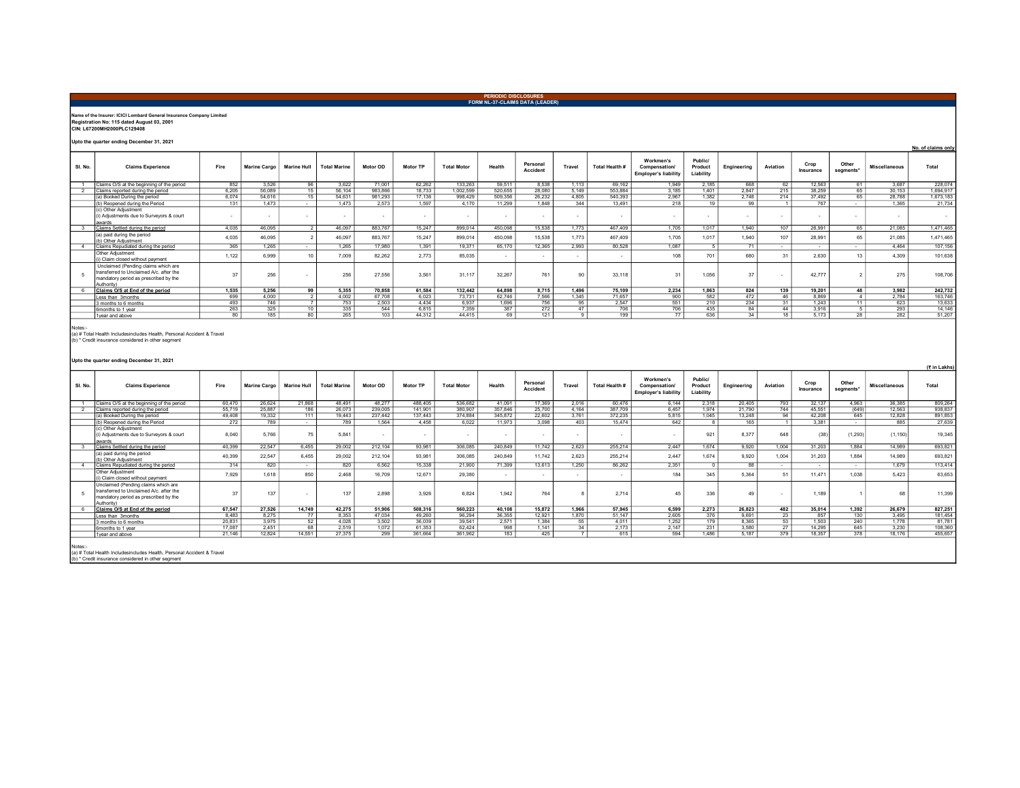## PERIODIC DISCLOSURES FORM NL-37-CLAIMS DATA (LEADER) Name of the Insurer: ICICI Lombard General Insurance Company Limited Registration No: 115 dated August 03, 2001 CIN: L67200MH2000PLC129408 Upto the quarter ending December 31, 2021 No. of claims only Workmen's Public/ Product Crop<br>Insurance Other Personal Travel Total Health # Sl. No. Claims Experience Fire Marine Cargo Marine Hull Total Marine Motor OD Motor TP Total Motor Health Personal Compensation/ Engineering Aviation Other Miscellaneous Total<br>segments\* Miscellaneous Employer's liability Liability 1 Claims O/S at the beginning of the period 852 3,526 96 3,622 71,001 62,262 133,263 59,511 8,538 1,113 69,162<br>2 Claims operaded authority of the 1999 15 59,104 983,886 18.733 1,022,599 598,356 26,090 51,149 50,1891 3,135<br> 2 <u>Claims reported during the period</u> 6.205 | 56,089 | 15 | 56,104 | 983,866 | 18,733 | 1,002,599 | 520,655 | 28,080 | 5,149 | 553,884 | 3,185 | 1,401 | 2,847 | 215 | 38,259 | 65 | 30,153 | 1,694,917 (a) Booked During the period 6,074 54,616 15 54,631 981,293 1,7136 988,429 4,805 2,6232 4,805 540,393 2,967 1,382 2,748 214 37,492 65 28,788 1,673,183 (b) Reopened during the Period | 131 | 1,473 - 1,473 | 2,573 | 1,597 | 4,170 | 11,299 | 1,848 | 344 | 13,491 | 218 | 19 | 99 | 1 | 767 | - | 1,365 | 21,734 (c) Other Adjustment (i) Adjustments due to Surveyors & court - - - - - - - - - - - - - - - - - - awards 3 <u>|Claims Settled during the period</u> 4,035 | 46,095 | 46,097 | 463,097 | 883,767 | 899,014 | 450,098 | 1,773 | 467,409 | 1,017 | 1,017 | (a) paid during the period (b) Other Adjustment 46,095 4,035 2 46,097 883,767 15,247 899,014 450,098 15,538 1,773 467,409 1,705 1,017 1,940 107 28,991 65 21,085 1,471,465 Claims Repudiated during the period<br>Other Adjustment 4 <mark>Claims Repudiated during the period</mark> | 365 1,265 - | 1,265 17,980 1,391 19,371 65,170 12,365 2,993 80,528 1,087 5 71 - | - | - | 4,464 107,156 Unclaim closed without payment<br>(i) Claim closed without payment<br>Unclaimed (Pending claims which are -view Augustums | 1,122 6,999 10 7,009 82,262 2,773 85,035 - - - 1 - 108 701 680 31 2,630 13 4,309 101,638<br>(i)Claim closed without payment | 1,122 6,999 10 7,009 82,262 2,773 85,035 - - - - 1 transferred to Unclaimed A/c. after the 5 mandatory period as prescribed by the 256 - 256 - 256 27,556 3,561 3,117 32,267 761 90 33,118 31 1,056 37 - 37 - 32,777 27 275 108,706 Authority)<br>Claims O/S at End of the period 6 <u>Claims O/S at End of the period</u> | 1,535 5,256 99 5,355 70,858 61,584 132,442 64,898 8,715 1,496 75,109 2,234 1,863 824 139 19,201 48 3,982 247,732 Less than 3months 699 4,000 2 4,002 67,708 6,023 73,731 62,746 7,566 1,345 71,657 900 582 472 46 8,869 4 2,784 163,746 3 months 493 | 746 | 7 | 753 | 2,503 | 4,434 | 6,937 | 1,696 | 756 | 95 | 2,547 | 551 | 210 | 234 31 1,433 | 11 | 623 | 13,633 6monthsto1year | 263 | 325 | 10 335 | 544 6,815 7,359 387 272 | 47 706 706 1 35 84 44 3,916 5 293 14,146 1year and above 80 185 80 265 103 44,312 44,415 69 121 9 199 77 636 34 18 5,173 28 282 51,207 Notes:- (a) # Total Health Includesincludes Health, Personal Accident & Travel (b) \* Credit insurance considered in other segmentUpto the quarter ending December 31, 2021 (१ in Lakhs) Τ Τ Τ Τ Τ  $\mathbf{I}$  $\overline{1}$  $\overline{\phantom{a}}$  $\mathbf{I}$ Workmen's Public/ Other

| SI. No. | <b>Claims Experience</b>                                                                                                              | Fire   | <b>Marine Cargo</b> | <b>Marine Hull</b> | <b>Total Marine</b> | Motor OD | <b>Motor TP</b> | <b>Total Motor</b> | Health  | Personal<br>Accident | Travel                   | Total Health # | <b>MOUVILLE 11 2</b><br>Compensation/<br><b>Employer's liability</b> | <b>FUDIIG</b><br>Product<br>Liability | Engineering | Aviation        | Crop<br>Insurance | Other<br>segments* | <b>Miscellaneous</b> | Total   |
|---------|---------------------------------------------------------------------------------------------------------------------------------------|--------|---------------------|--------------------|---------------------|----------|-----------------|--------------------|---------|----------------------|--------------------------|----------------|----------------------------------------------------------------------|---------------------------------------|-------------|-----------------|-------------------|--------------------|----------------------|---------|
|         | Claims O/S at the beginning of the period                                                                                             | 60.470 | 26.624              | 21.868             | 48.491              | 48.277   | 488,405         | 536.682            | 41.091  | 17.369               | 2.016                    | 60.476         | 6.144                                                                | 2.318                                 | 20.405      | 793             | 32.137            | 4.963              | 36.385               | 809.264 |
|         | laims reported during the period                                                                                                      | 55,719 | 25,887              | 186                | 26,073              | 239,005  | 141,901         | 380.907            | 357,846 | 25,700               | 4.164                    | 387,709        | 6.457                                                                | 1.974                                 | 21,790      | 744             | 45.551            | (649)              | 12.563               | 938,837 |
|         | (a) Booked During the period                                                                                                          | 49,408 | 19.332              | 111                | 19,443              | 237.442  | 137,443         | 374,884            | 345,872 | 22.602               | 3,761                    | 372.235        | 5,815                                                                | 1,045                                 | 13,248      | 94              | 42.208            | 645                | 12.828               | 891,853 |
|         | (b) Reopened during the Period                                                                                                        | 272    | 789                 | $\sim$             | 789                 | 1.564    | 4458            | 6.022              | 11,973  | 3.098                | 403                      | 15.474         | 642                                                                  | $\overline{B}$                        | 165         |                 | 3.381             | $\sim$             | 885                  | 27,639  |
|         | (c) Other Adiustment<br>(i) Adjustments due to Surveyors & court<br>awards                                                            | 6.040  | 5.766               | 75                 | 5.841               | . .      |                 |                    |         |                      | $\overline{\phantom{a}}$ |                |                                                                      | 921                                   | 8.377       | 648             | (38)              | (1, 293)           | (1, 150)             | 19.345  |
|         | laims Settled during the period                                                                                                       | 40.399 | 22.547              | 6.455              | 29.002              | 212.104  | 93 981          | 306.085            | 240.849 | 11742                | 2.623                    | 255,214        | 2447                                                                 | 1674                                  | 9.920       | 1.004           | 31.203            | 1.884              | 14 989               | 693.821 |
|         | (a) paid during the period<br>(b) Other Adjustment                                                                                    | 40.399 | 22.547              | 6.455              | 29.002              | 212.104  | 93.981          | 306,085            | 240,849 | 11.742               | 2.623                    | 255.214        | 2.447                                                                | 1.674                                 | 9.920       | 1.004           | 31.203            | 1.884              | 14.989               | 693,821 |
|         | Claims Repudiated during the period                                                                                                   | 314    | 820                 | $\sim$             | 820                 | 6.562    | 15.338          | 21,900             | 71.399  | 13.613               | 1.250                    | 86,262         | 2.351                                                                | $\Omega$                              | 88          | $\sim$          | $\sim$            | $\sim$             | 1.679                | 113.414 |
|         | Other Adiustment<br>i) Claim closed without payment                                                                                   | 7.929  | 1.618               | 850                | 2.468               | 16,709   | 12.671          | 29,380             |         |                      |                          |                | 184                                                                  | 345                                   | 5.364       | 51              | 11,471            | 1.038              | 5.423                | 63,653  |
|         | Unclaimed (Pending claims which are<br>transferred to Unclaimed A/c. after the<br>mandatory period as prescribed by the<br>Authority) | 37     | 137                 |                    | 137                 | 2,898    | 3.926           | 6.824              | 1.942   | 764                  |                          | 2.714          |                                                                      | 336                                   | 49          |                 | 1.189             |                    | 68                   | 11.399  |
|         | Claims O/S at End of the period                                                                                                       | 67.547 | 27.526              | 14.749             | 42.275              | 51.906   | 508,316         | 560,223            | 40.108  | 15,872               | 1.966                    | 57.945         | 6.599                                                                | 2.273                                 | 26.823      | 482             | 35.014            | 1.392              | 26.679               | 827,251 |
|         | Less than 3months                                                                                                                     | 8.483  | 8.275               | 77                 | 8,353               | 47.034   | 49.260          | 96.294             | 36,355  | 12.921               | 1,870                    | 51.147         | 2,605                                                                | 376                                   | 9.691       | 23              | 857               | 130                | 3.495                | 181,454 |
|         | 3 months to 6 months                                                                                                                  | 20.831 | 3.975               | 52                 | 4.028               | 3.502    | 36.039          | 39.541             | 2.571   | 1.384                | 55                       | 4.011          | 1.252                                                                | 179                                   | 8.365       | 53              | 1.503             | 240                | 1 7 7 8              | 81.781  |
|         | 6months to 1 year                                                                                                                     | 17.087 | 2.451               | 68                 | 2.519               | 1.072    | 61.353          | 62.424             | 998     | 1.141                | 34                       | 2.173          | 2.147                                                                | 231                                   | 3,580       | $\overline{27}$ | 14.295            | 645                | 3.230                | 108,360 |
|         | 1 year and above                                                                                                                      | 21.146 | 12.824              | 14.551             | 27.375              | 299      | 361.664         | 361.962            | 183     | 425                  | $\overline{ }$           | 615            | 594                                                                  | 1.486                                 | 5.187       | 379             | 18.357            | 378                | 18.176               | 455.657 |
| Notes:- | (a) # Total Health Includesincludes Health, Personal Accident & Travel<br>(b) * Credit insurance considered in other seament          |        |                     |                    |                     |          |                 |                    |         |                      |                          |                |                                                                      |                                       |             |                 |                   |                    |                      |         |

(b) \* Credit insurance considered in other segment